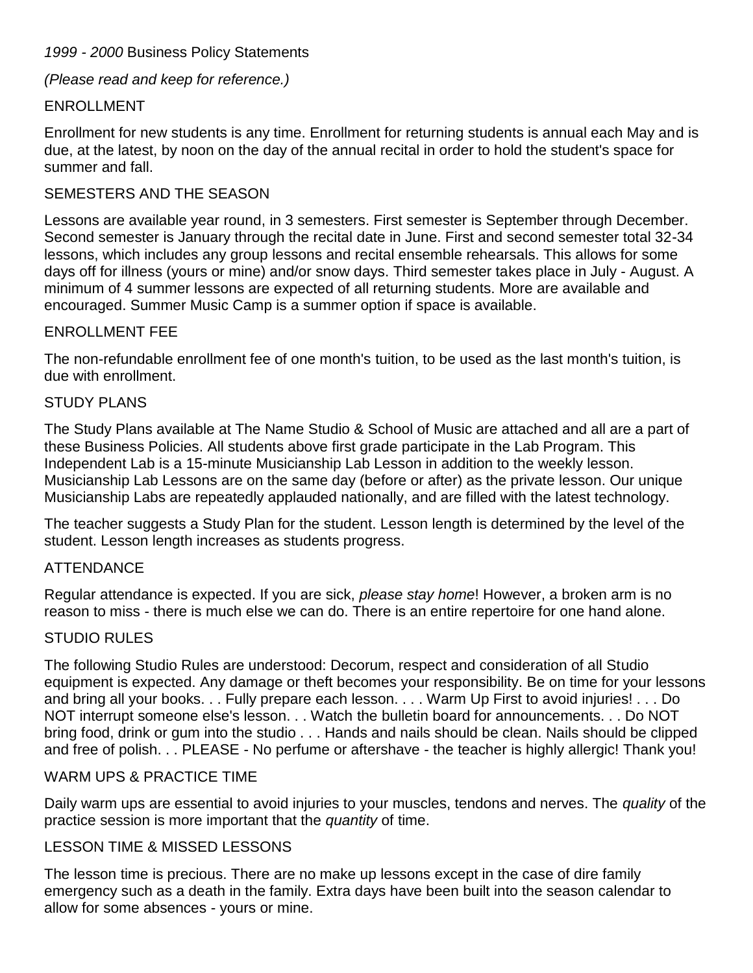### *1999 - 2000* Business Policy Statements

*(Please read and keep for reference.)*

# ENROLLMENT

Enrollment for new students is any time. Enrollment for returning students is annual each May and is due, at the latest, by noon on the day of the annual recital in order to hold the student's space for summer and fall.

# SEMESTERS AND THE SEASON

Lessons are available year round, in 3 semesters. First semester is September through December. Second semester is January through the recital date in June. First and second semester total 32-34 lessons, which includes any group lessons and recital ensemble rehearsals. This allows for some days off for illness (yours or mine) and/or snow days. Third semester takes place in July - August. A minimum of 4 summer lessons are expected of all returning students. More are available and encouraged. Summer Music Camp is a summer option if space is available.

### ENROLLMENT FEE

The non-refundable enrollment fee of one month's tuition, to be used as the last month's tuition, is due with enrollment.

### STUDY PLANS

The Study Plans available at The Name Studio & School of Music are attached and all are a part of these Business Policies. All students above first grade participate in the Lab Program. This Independent Lab is a 15-minute Musicianship Lab Lesson in addition to the weekly lesson. Musicianship Lab Lessons are on the same day (before or after) as the private lesson. Our unique Musicianship Labs are repeatedly applauded nationally, and are filled with the latest technology.

The teacher suggests a Study Plan for the student. Lesson length is determined by the level of the student. Lesson length increases as students progress.

### **ATTENDANCE**

Regular attendance is expected. If you are sick, *please stay home*! However, a broken arm is no reason to miss - there is much else we can do. There is an entire repertoire for one hand alone.

### STUDIO RULES

The following Studio Rules are understood: Decorum, respect and consideration of all Studio equipment is expected. Any damage or theft becomes your responsibility. Be on time for your lessons and bring all your books. . . Fully prepare each lesson. . . . Warm Up First to avoid injuries! . . . Do NOT interrupt someone else's lesson. . . Watch the bulletin board for announcements. . . Do NOT bring food, drink or gum into the studio . . . Hands and nails should be clean. Nails should be clipped and free of polish. . . PLEASE - No perfume or aftershave - the teacher is highly allergic! Thank you!

### WARM UPS & PRACTICE TIME

Daily warm ups are essential to avoid injuries to your muscles, tendons and nerves. The *quality* of the practice session is more important that the *quantity* of time.

# LESSON TIME & MISSED LESSONS

The lesson time is precious. There are no make up lessons except in the case of dire family emergency such as a death in the family. Extra days have been built into the season calendar to allow for some absences - yours or mine.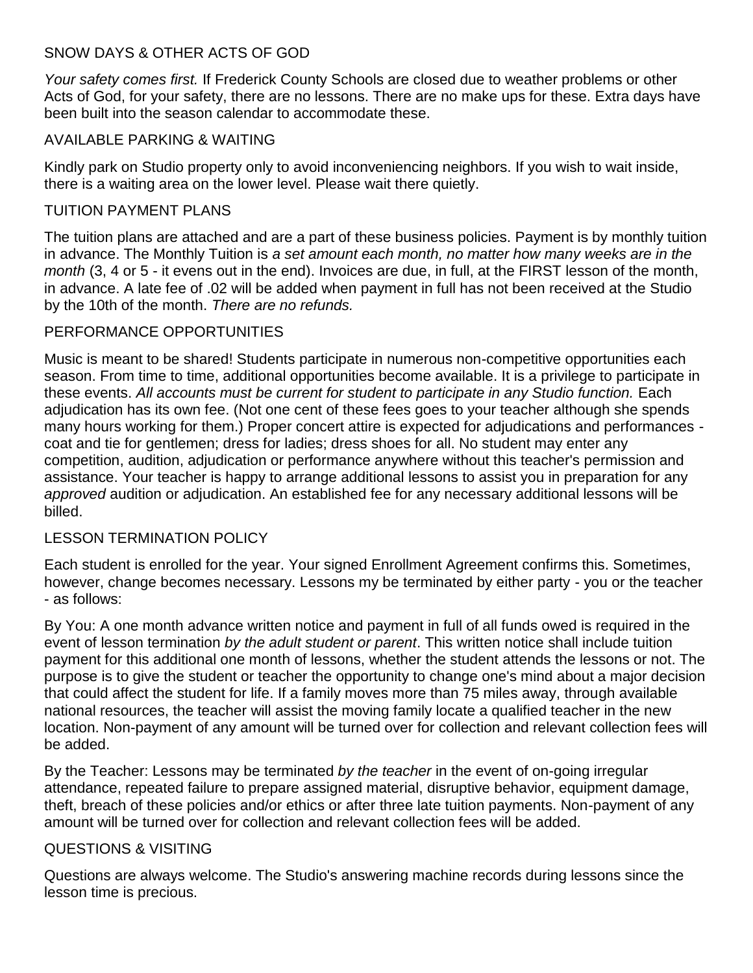# SNOW DAYS & OTHER ACTS OF GOD

*Your safety comes first.* If Frederick County Schools are closed due to weather problems or other Acts of God, for your safety, there are no lessons. There are no make ups for these. Extra days have been built into the season calendar to accommodate these.

# AVAILABLE PARKING & WAITING

Kindly park on Studio property only to avoid inconveniencing neighbors. If you wish to wait inside, there is a waiting area on the lower level. Please wait there quietly.

### TUITION PAYMENT PLANS

The tuition plans are attached and are a part of these business policies. Payment is by monthly tuition in advance. The Monthly Tuition is *a set amount each month, no matter how many weeks are in the month* (3, 4 or 5 - it evens out in the end). Invoices are due, in full, at the FIRST lesson of the month, in advance. A late fee of .02 will be added when payment in full has not been received at the Studio by the 10th of the month. *There are no refunds.*

# PERFORMANCE OPPORTUNITIES

Music is meant to be shared! Students participate in numerous non-competitive opportunities each season. From time to time, additional opportunities become available. It is a privilege to participate in these events. All accounts must be current for student to participate in any Studio function. Each adjudication has its own fee. (Not one cent of these fees goes to your teacher although she spends many hours working for them.) Proper concert attire is expected for adjudications and performances coat and tie for gentlemen; dress for ladies; dress shoes for all. No student may enter any competition, audition, adjudication or performance anywhere without this teacher's permission and assistance. Your teacher is happy to arrange additional lessons to assist you in preparation for any *approved* audition or adjudication. An established fee for any necessary additional lessons will be billed.

### LESSON TERMINATION POLICY

Each student is enrolled for the year. Your signed Enrollment Agreement confirms this. Sometimes, however, change becomes necessary. Lessons my be terminated by either party - you or the teacher - as follows:

By You: A one month advance written notice and payment in full of all funds owed is required in the event of lesson termination *by the adult student or parent*. This written notice shall include tuition payment for this additional one month of lessons, whether the student attends the lessons or not. The purpose is to give the student or teacher the opportunity to change one's mind about a major decision that could affect the student for life. If a family moves more than 75 miles away, through available national resources, the teacher will assist the moving family locate a qualified teacher in the new location. Non-payment of any amount will be turned over for collection and relevant collection fees will be added.

By the Teacher: Lessons may be terminated *by the teacher* in the event of on-going irregular attendance, repeated failure to prepare assigned material, disruptive behavior, equipment damage, theft, breach of these policies and/or ethics or after three late tuition payments. Non-payment of any amount will be turned over for collection and relevant collection fees will be added.

### QUESTIONS & VISITING

Questions are always welcome. The Studio's answering machine records during lessons since the lesson time is precious.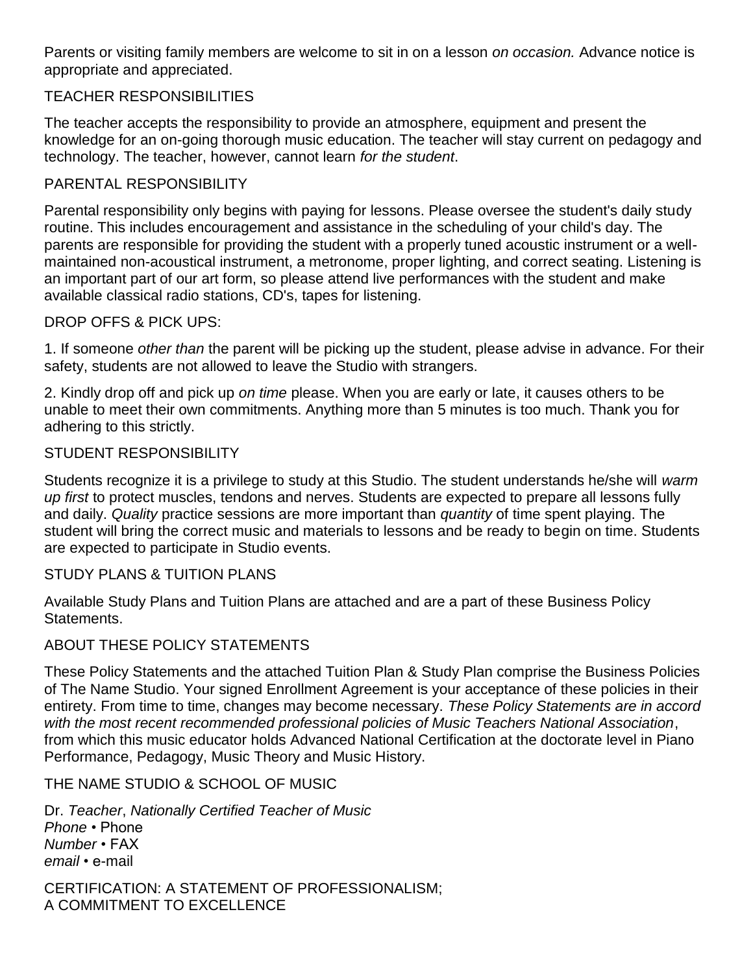Parents or visiting family members are welcome to sit in on a lesson *on occasion.* Advance notice is appropriate and appreciated.

# TEACHER RESPONSIBILITIES

The teacher accepts the responsibility to provide an atmosphere, equipment and present the knowledge for an on-going thorough music education. The teacher will stay current on pedagogy and technology. The teacher, however, cannot learn *for the student*.

### PARENTAL RESPONSIBILITY

Parental responsibility only begins with paying for lessons. Please oversee the student's daily study routine. This includes encouragement and assistance in the scheduling of your child's day. The parents are responsible for providing the student with a properly tuned acoustic instrument or a wellmaintained non-acoustical instrument, a metronome, proper lighting, and correct seating. Listening is an important part of our art form, so please attend live performances with the student and make available classical radio stations, CD's, tapes for listening.

### DROP OFFS & PICK UPS:

1. If someone *other than* the parent will be picking up the student, please advise in advance. For their safety, students are not allowed to leave the Studio with strangers.

2. Kindly drop off and pick up *on time* please. When you are early or late, it causes others to be unable to meet their own commitments. Anything more than 5 minutes is too much. Thank you for adhering to this strictly.

### STUDENT RESPONSIBILITY

Students recognize it is a privilege to study at this Studio. The student understands he/she will *warm up first* to protect muscles, tendons and nerves. Students are expected to prepare all lessons fully and daily. *Quality* practice sessions are more important than *quantity* of time spent playing. The student will bring the correct music and materials to lessons and be ready to begin on time. Students are expected to participate in Studio events.

### STUDY PLANS & TUITION PLANS

Available Study Plans and Tuition Plans are attached and are a part of these Business Policy Statements.

### ABOUT THESE POLICY STATEMENTS

These Policy Statements and the attached Tuition Plan & Study Plan comprise the Business Policies of The Name Studio. Your signed Enrollment Agreement is your acceptance of these policies in their entirety. From time to time, changes may become necessary. *These Policy Statements are in accord with the most recent recommended professional policies of Music Teachers National Association*, from which this music educator holds Advanced National Certification at the doctorate level in Piano Performance, Pedagogy, Music Theory and Music History.

### THE NAME STUDIO & SCHOOL OF MUSIC

Dr. *Teacher*, *Nationally Certified Teacher of Music Phone* • Phone *Number* • FAX *email* • e-mail

CERTIFICATION: A STATEMENT OF PROFESSIONALISM; A COMMITMENT TO EXCELLENCE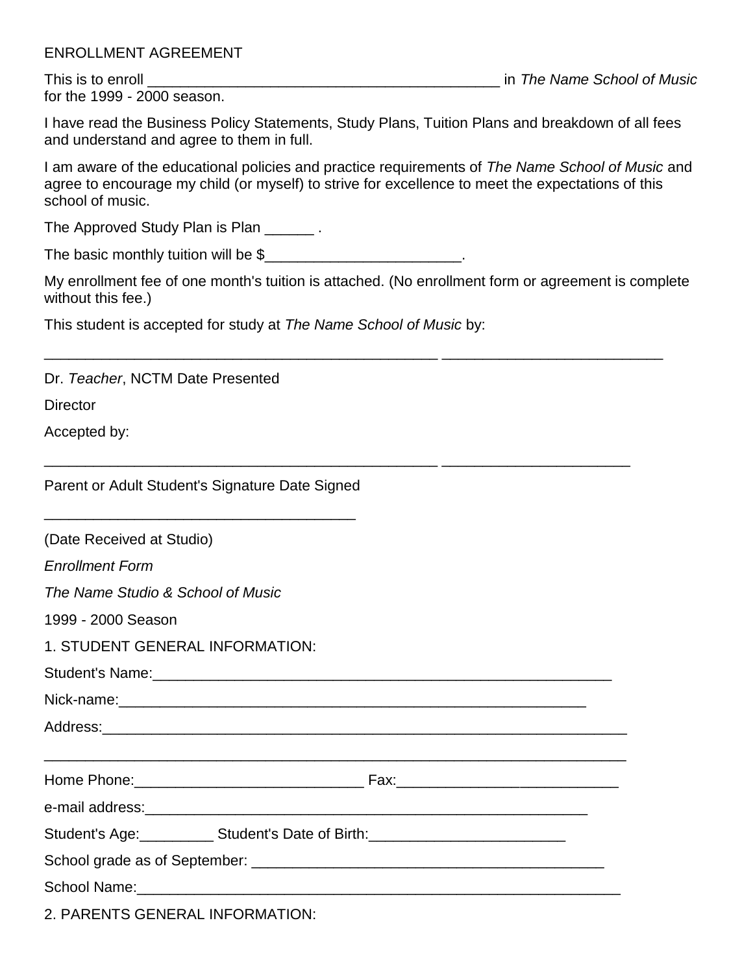# ENROLLMENT AGREEMENT

for the 1999 - 2000 season.

This is to enroll \_\_\_\_\_\_\_\_\_\_\_\_\_\_\_\_\_\_\_\_\_\_\_\_\_\_\_\_\_\_\_\_\_\_\_\_\_\_\_\_\_\_\_ in *The Name School of Music*

I have read the Business Policy Statements, Study Plans, Tuition Plans and breakdown of all fees and understand and agree to them in full.

I am aware of the educational policies and practice requirements of *The Name School of Music* and agree to encourage my child (or myself) to strive for excellence to meet the expectations of this school of music.

The Approved Study Plan is Plan \_\_\_\_\_\_\_.

The basic monthly tuition will be \$\_\_\_\_\_\_\_\_\_\_\_\_\_\_\_\_\_\_\_\_\_\_\_\_.

My enrollment fee of one month's tuition is attached. (No enrollment form or agreement is complete without this fee.)

\_\_\_\_\_\_\_\_\_\_\_\_\_\_\_\_\_\_\_\_\_\_\_\_\_\_\_\_\_\_\_\_\_\_\_\_\_\_\_\_\_\_\_\_\_\_\_\_ \_\_\_\_\_\_\_\_\_\_\_\_\_\_\_\_\_\_\_\_\_\_\_\_\_\_\_

\_\_\_\_\_\_\_\_\_\_\_\_\_\_\_\_\_\_\_\_\_\_\_\_\_\_\_\_\_\_\_\_\_\_\_\_\_\_\_\_\_\_\_\_\_\_\_\_ \_\_\_\_\_\_\_\_\_\_\_\_\_\_\_\_\_\_\_\_\_\_\_

This student is accepted for study at *The Name School of Music* by:

Dr. *Teacher*, NCTM Date Presented

**Director** 

Accepted by:

| Parent or Adult Student's Signature Date Signed |  |  |
|-------------------------------------------------|--|--|
|-------------------------------------------------|--|--|

| <u> 1989 - Johann John Stoff, deutscher Stoffen und der Stoffen und der Stoffen und der Stoffen und der Stoffen u</u> |  |  |  |
|-----------------------------------------------------------------------------------------------------------------------|--|--|--|
| (Date Received at Studio)                                                                                             |  |  |  |
| <b>Enrollment Form</b>                                                                                                |  |  |  |
| The Name Studio & School of Music                                                                                     |  |  |  |
| 1999 - 2000 Season                                                                                                    |  |  |  |
| 1. STUDENT GENERAL INFORMATION:                                                                                       |  |  |  |
|                                                                                                                       |  |  |  |
|                                                                                                                       |  |  |  |
|                                                                                                                       |  |  |  |
|                                                                                                                       |  |  |  |
|                                                                                                                       |  |  |  |
| Student's Age: _____________ Student's Date of Birth: __________________________                                      |  |  |  |
|                                                                                                                       |  |  |  |
|                                                                                                                       |  |  |  |
| 2. PARENTS GENERAL INFORMATION:                                                                                       |  |  |  |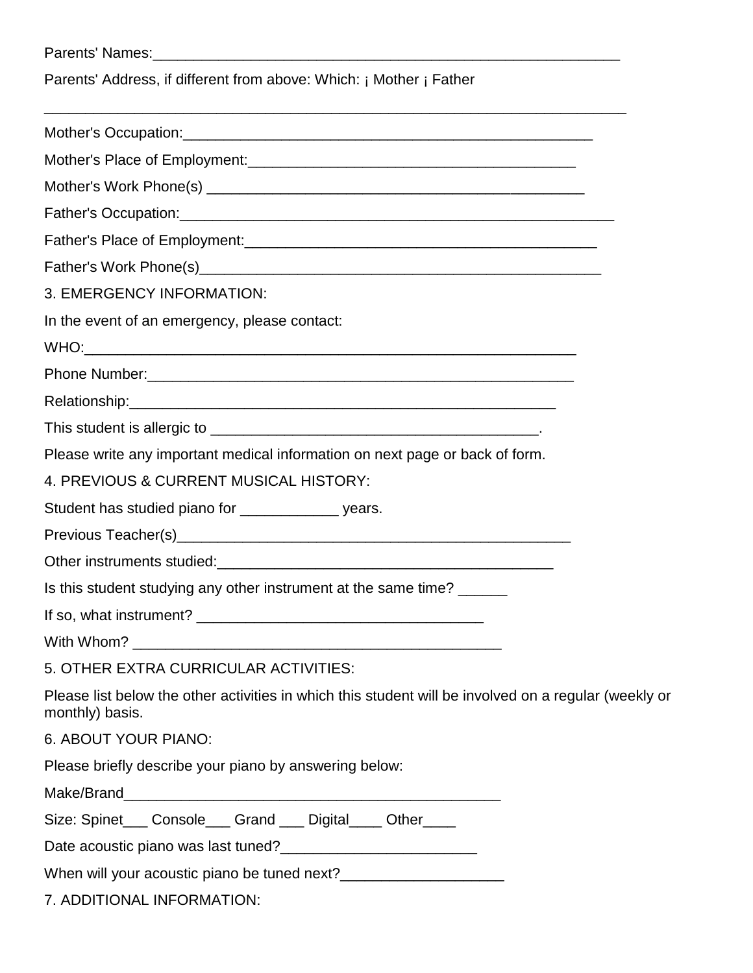| Parents' Address, if different from above: Which: ¡ Mother ¡ Father                                                                                                                                                                 |
|-------------------------------------------------------------------------------------------------------------------------------------------------------------------------------------------------------------------------------------|
|                                                                                                                                                                                                                                     |
|                                                                                                                                                                                                                                     |
|                                                                                                                                                                                                                                     |
|                                                                                                                                                                                                                                     |
| Father's Place of Employment: <b>All any According to Place of Employment:</b> All any According to the According to the According to the According to the According to the According to the According to the According to the Acco |
|                                                                                                                                                                                                                                     |
| 3. EMERGENCY INFORMATION:                                                                                                                                                                                                           |
| In the event of an emergency, please contact:                                                                                                                                                                                       |
|                                                                                                                                                                                                                                     |
|                                                                                                                                                                                                                                     |
|                                                                                                                                                                                                                                     |
|                                                                                                                                                                                                                                     |
| Please write any important medical information on next page or back of form.                                                                                                                                                        |
| 4. PREVIOUS & CURRENT MUSICAL HISTORY:                                                                                                                                                                                              |
| Student has studied piano for __________________ years.                                                                                                                                                                             |
|                                                                                                                                                                                                                                     |
|                                                                                                                                                                                                                                     |
| Is this student studying any other instrument at the same time? ______                                                                                                                                                              |
|                                                                                                                                                                                                                                     |
|                                                                                                                                                                                                                                     |
| 5. OTHER EXTRA CURRICULAR ACTIVITIES:                                                                                                                                                                                               |
| Please list below the other activities in which this student will be involved on a regular (weekly or<br>monthly) basis.                                                                                                            |
| 6. ABOUT YOUR PIANO:                                                                                                                                                                                                                |
| Please briefly describe your piano by answering below:                                                                                                                                                                              |
|                                                                                                                                                                                                                                     |
| Size: Spinet___ Console___ Grand ___ Digital____ Other____                                                                                                                                                                          |

Date acoustic piano was last tuned?\_\_\_\_\_\_\_\_\_\_\_\_\_\_\_\_\_\_\_\_\_\_\_\_

When will your acoustic piano be tuned next?\_\_\_\_\_\_\_\_\_\_\_\_\_\_\_\_\_\_\_\_

7. ADDITIONAL INFORMATION: